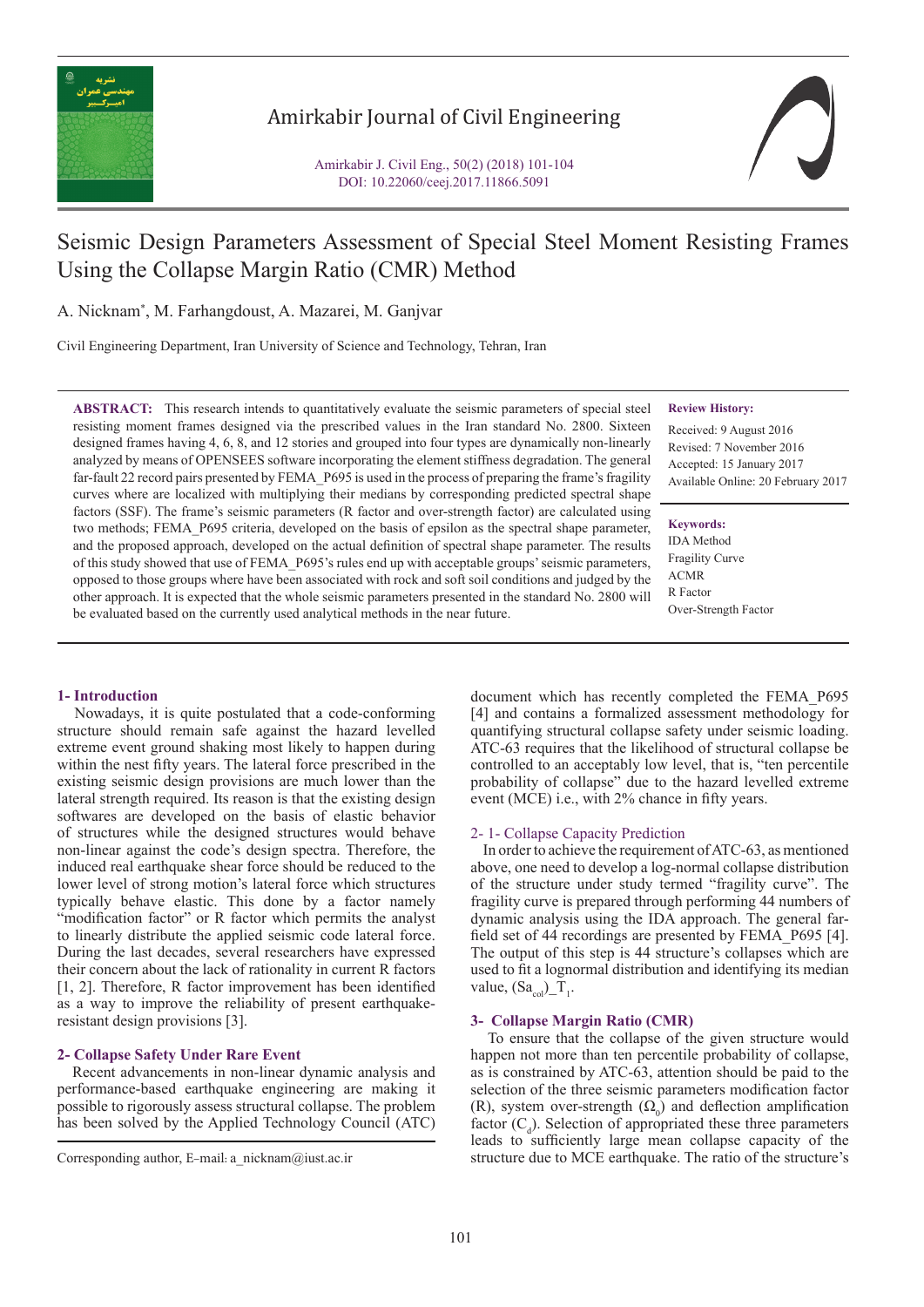

# Amirkabir Journal of Civil Engineering

Amirkabir J. Civil Eng., 50(2) (2018) 101-104 DOI: 10.22060/ceej.2017.11866.5091

# Seismic Design Parameters Assessment of Special Steel Moment Resisting Frames Using the Collapse Margin Ratio (CMR) Method

A. Nicknam\* , M. Farhangdoust, A. Mazarei, M. Ganjvar

Civil Engineering Department, Iran University of Science and Technology, Tehran, Iran

**ABSTRACT:** This research intends to quantitatively evaluate the seismic parameters of special steel resisting moment frames designed via the prescribed values in the Iran standard No. 2800. Sixteen designed frames having 4, 6, 8, and 12 stories and grouped into four types are dynamically non-linearly analyzed by means of OPENSEES software incorporating the element stiffness degradation. The general far-fault 22 record pairs presented by FEMA\_P695 is used in the process of preparing the frame's fragility curves where are localized with multiplying their medians by corresponding predicted spectral shape factors (SSF). The frame's seismic parameters (R factor and over-strength factor) are calculated using two methods; FEMA\_P695 criteria, developed on the basis of epsilon as the spectral shape parameter, and the proposed approach, developed on the actual definition of spectral shape parameter. The results of this study showed that use of FEMA\_P695's rules end up with acceptable groups' seismic parameters, opposed to those groups where have been associated with rock and soft soil conditions and judged by the other approach. It is expected that the whole seismic parameters presented in the standard No. 2800 will be evaluated based on the currently used analytical methods in the near future.

#### **Review History:**

Received: 9 August 2016 Revised: 7 November 2016 Accepted: 15 January 2017 Available Online: 20 February 2017

**Keywords:** IDA Method Fragility Curve ACMR R Factor Over-Strength Factor

## **1- Introduction**

 Nowadays, it is quite postulated that a code-conforming structure should remain safe against the hazard levelled extreme event ground shaking most likely to happen during within the nest fifty years. The lateral force prescribed in the existing seismic design provisions are much lower than the lateral strength required. Its reason is that the existing design softwares are developed on the basis of elastic behavior of structures while the designed structures would behave non-linear against the code's design spectra. Therefore, the induced real earthquake shear force should be reduced to the lower level of strong motion's lateral force which structures typically behave elastic. This done by a factor namely "modification factor" or R factor which permits the analyst to linearly distribute the applied seismic code lateral force. During the last decades, several researchers have expressed their concern about the lack of rationality in current R factors [1, 2]. Therefore, R factor improvement has been identified as a way to improve the reliability of present earthquakeresistant design provisions [3].

### **2- Collapse Safety Under Rare Event**

 Recent advancements in non-linear dynamic analysis and performance-based earthquake engineering are making it possible to rigorously assess structural collapse. The problem has been solved by the Applied Technology Council (ATC)

document which has recently completed the FEMA\_P695 [4] and contains a formalized assessment methodology for quantifying structural collapse safety under seismic loading. ATC-63 requires that the likelihood of structural collapse be controlled to an acceptably low level, that is, "ten percentile probability of collapse" due to the hazard levelled extreme event (MCE) i.e., with 2% chance in fifty years.

#### 2- 1- Collapse Capacity Prediction

 In order to achieve the requirement of ATC-63, as mentioned above, one need to develop a log-normal collapse distribution of the structure under study termed "fragility curve". The fragility curve is prepared through performing 44 numbers of dynamic analysis using the IDA approach. The general farfield set of 44 recordings are presented by FEMA\_P695 [4]. The output of this step is 44 structure's collapses which are used to fit a lognormal distribution and identifying its median value,  $(Sa_{\text{col}})_T$ <sub>1</sub>.

#### **3- Collapse Margin Ratio (CMR)**

 To ensure that the collapse of the given structure would happen not more than ten percentile probability of collapse, as is constrained by ATC-63, attention should be paid to the selection of the three seismic parameters modification factor (R), system over-strength  $(\Omega_0)$  and deflection amplification factor  $(C_d)$ . Selection of appropriated these three parameters leads to sufficiently large mean collapse capacity of the Corresponding author, E-mail: a nicknam@iust.ac.ir structure due to MCE earthquake. The ratio of the structure's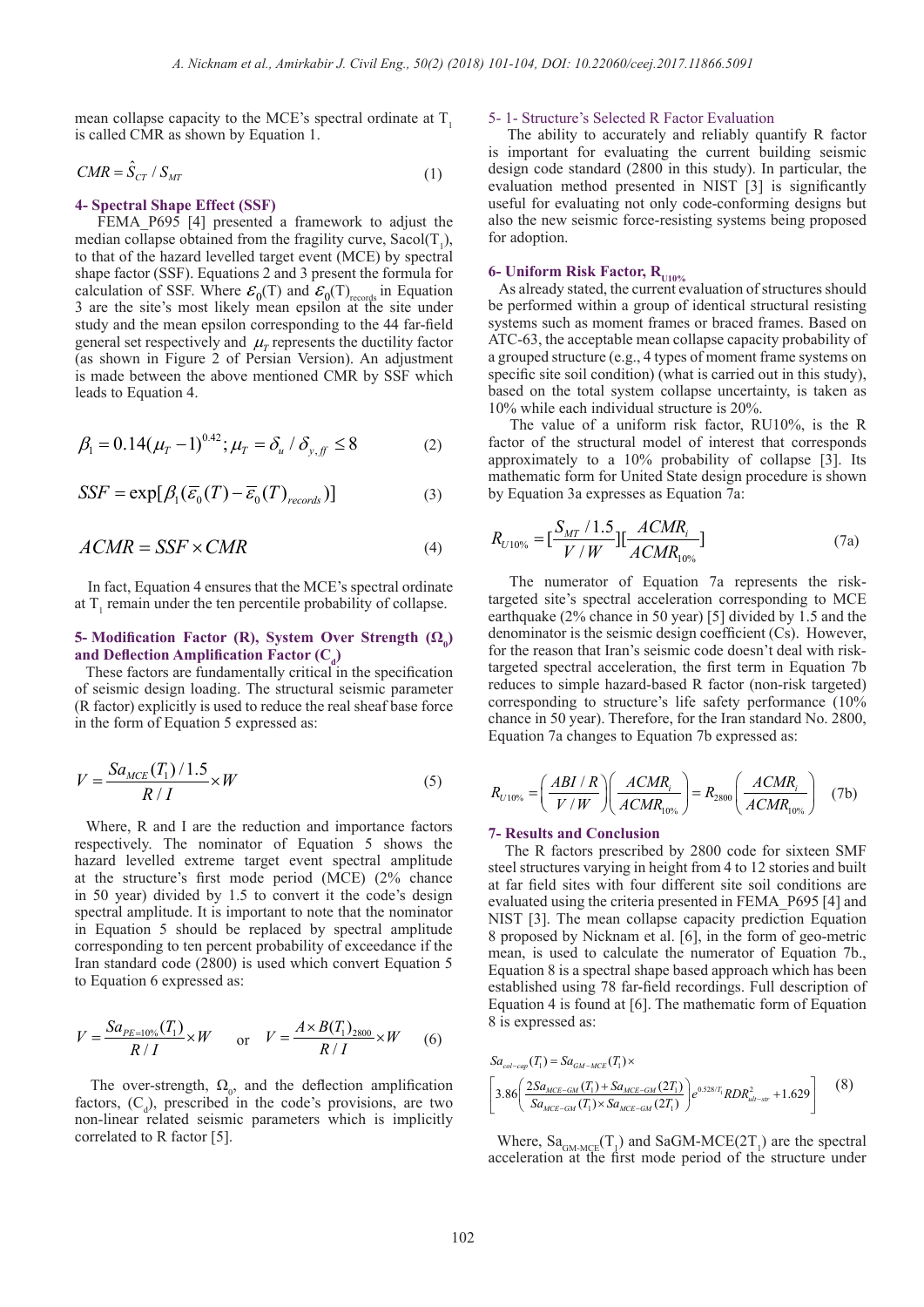mean collapse capacity to the MCE's spectral ordinate at  $T<sub>1</sub>$ is called CMR as shown by Equation 1.

$$
CMR = \hat{S}_{CT} / S_{MT}
$$
 (1)

#### **4- Spectral Shape Effect (SSF)**

FEMA P695 [4] presented a framework to adjust the median collapse obtained from the fragility curve,  $Sacol(T_1)$ , to that of the hazard levelled target event (MCE) by spectral shape factor (SSF). Equations 2 and 3 present the formula for calculation of SSF. Where  $\mathcal{E}_0(T)$  and  $\mathcal{E}_0(T)$ <sub>records</sub> in Equation 3 are the site's most likely mean epsilon at the site under study and the mean epsilon corresponding to the 44 far-field general set respectively and  $\mu$ <sup>*T*</sup> represents the ductility factor (as shown in Figure 2 of Persian Version). An adjustment is made between the above mentioned CMR by SSF which leads to Equation 4.

$$
\beta_1 = 0.14(\mu_T - 1)^{0.42}; \mu_T = \delta_u / \delta_{y, f} \le 8 \tag{2}
$$

$$
SSF = \exp[\beta_1(\overline{\mathcal{E}}_0(T) - \overline{\mathcal{E}}_0(T))_{records})]
$$
 (3)

$$
ACMR = SSF \times CMR \tag{4}
$$

 In fact, Equation 4 ensures that the MCE's spectral ordinate at  $T_1$  remain under the ten percentile probability of collapse.

# **5- Modification Factor (R), System Over Strength (Ω<sup>0</sup> )**  and Deflection Amplification Factor  $(C_d)$

 These factors are fundamentally critical in the specification of seismic design loading. The structural seismic parameter (R factor) explicitly is used to reduce the real sheaf base force in the form of Equation 5 expressed as:

$$
V = \frac{Sa_{MCE}(T_1)/1.5}{R/I} \times W
$$
\n<sup>(5)</sup>

 Where, R and I are the reduction and importance factors respectively. The nominator of Equation 5 shows the hazard levelled extreme target event spectral amplitude at the structure's first mode period (MCE) (2% chance in 50 year) divided by 1.5 to convert it the code's design spectral amplitude. It is important to note that the nominator in Equation 5 should be replaced by spectral amplitude corresponding to ten percent probability of exceedance if the Iran standard code (2800) is used which convert Equation 5 to Equation 6 expressed as:

$$
V = \frac{S a_{PE=10\%}(T_1)}{R/I} \times W \quad \text{or} \quad V = \frac{A \times B(T_1)_{2800}}{R/I} \times W \quad (6)
$$

The over-strength,  $\Omega_0$  and the deflection amplification factors,  $(C_d)$ , prescribed in the code's provisions, are two non-linear related seismic parameters which is implicitly correlated to R factor [5].

#### 5- 1- Structure's Selected R Factor Evaluation

 The ability to accurately and reliably quantify R factor is important for evaluating the current building seismic design code standard (2800 in this study). In particular, the evaluation method presented in NIST [3] is significantly useful for evaluating not only code-conforming designs but also the new seismic force-resisting systems being proposed for adoption.

# **6- Uniform Risk Factor, R**<sub>U10%</sub>

 As already stated, the current evaluation of structures should be performed within a group of identical structural resisting systems such as moment frames or braced frames. Based on ATC-63, the acceptable mean collapse capacity probability of a grouped structure (e.g., 4 types of moment frame systems on specific site soil condition) (what is carried out in this study), based on the total system collapse uncertainty, is taken as 10% while each individual structure is 20%.

 The value of a uniform risk factor, RU10%, is the R factor of the structural model of interest that corresponds approximately to a 10% probability of collapse [3]. Its mathematic form for United State design procedure is shown by Equation 3a expresses as Equation 7a:

$$
R_{U10\%} = \left[\frac{S_{MT} / 1.5}{V / W}\right] \left[\frac{ACMR_i}{ACMR_{10\%}}\right]
$$
 (7a)

 The numerator of Equation 7a represents the risktargeted site's spectral acceleration corresponding to MCE earthquake (2% chance in 50 year) [5] divided by 1.5 and the denominator is the seismic design coefficient (Cs). However, for the reason that Iran's seismic code doesn't deal with risktargeted spectral acceleration, the first term in Equation 7b reduces to simple hazard-based R factor (non-risk targeted) corresponding to structure's life safety performance (10% chance in 50 year). Therefore, for the Iran standard No. 2800, Equation 7a changes to Equation 7b expressed as:

$$
R_{U10\%} = \left(\frac{ABI/R}{V/W}\right) \left(\frac{ACMR_i}{ACMR_{10\%}}\right) = R_{2800} \left(\frac{ACMR_i}{ACMR_{10\%}}\right) \quad (7b)
$$

#### **7- Results and Conclusion**

 The R factors prescribed by 2800 code for sixteen SMF steel structures varying in height from 4 to 12 stories and built at far field sites with four different site soil conditions are evaluated using the criteria presented in FEMA\_P695 [4] and NIST [3]. The mean collapse capacity prediction Equation 8 proposed by Nicknam et al. [6], in the form of geo-metric mean, is used to calculate the numerator of Equation 7b., Equation 8 is a spectral shape based approach which has been established using 78 far-field recordings. Full description of Equation 4 is found at [6]. The mathematic form of Equation 8 is expressed as:

$$
Sa_{col-cap}(T_1) = Sa_{GM-MCE}(T_1) \times
$$
\n
$$
\left[3.86\left(\frac{2Sa_{MCE-GM}(T_1) + Sa_{MCE-GM}(2T_1)}{Sa_{MCE-GM}(T_1) \times Sa_{MCE-GM}(2T_1)}\right)e^{0.528/T_1}RDR_{ult-str}^2 + 1.629\right]
$$
\n(8)

Where,  $Sa_{GMMCE}(T_1)$  and  $SaGM-MCE(2T_1)$  are the spectral acceleration at the first mode period of the structure under